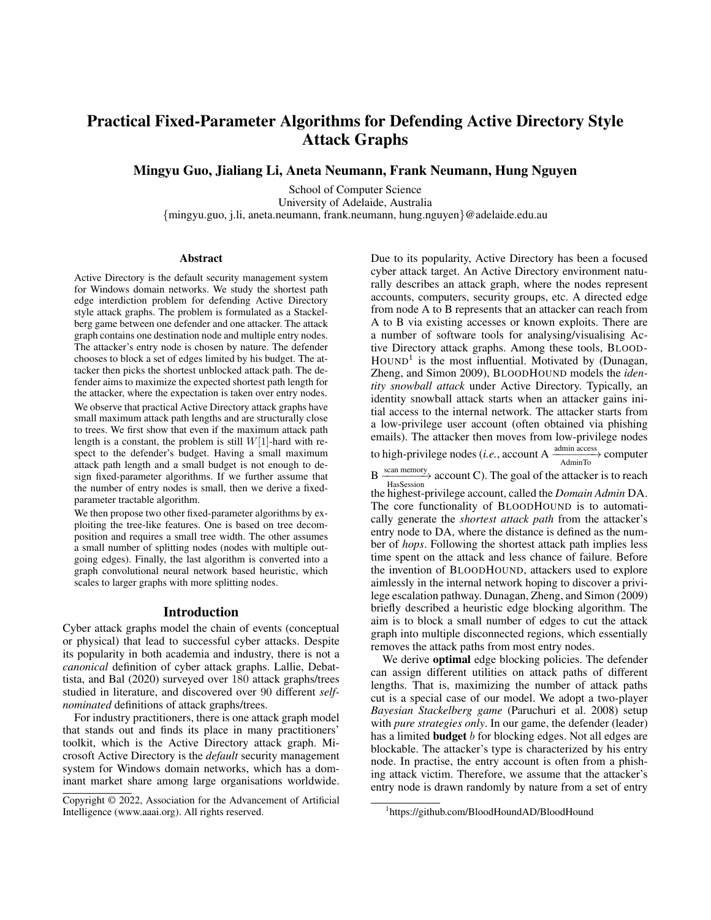# Practical Fixed-Parameter Algorithms for Defending Active Directory Style Attack Graphs

Mingyu Guo, Jialiang Li, Aneta Neumann, Frank Neumann, Hung Nguyen

School of Computer Science University of Adelaide, Australia {mingyu.guo, j.li, aneta.neumann, frank.neumann, hung.nguyen}@adelaide.edu.au

#### Abstract

Active Directory is the default security management system for Windows domain networks. We study the shortest path edge interdiction problem for defending Active Directory style attack graphs. The problem is formulated as a Stackelberg game between one defender and one attacker. The attack graph contains one destination node and multiple entry nodes. The attacker's entry node is chosen by nature. The defender chooses to block a set of edges limited by his budget. The attacker then picks the shortest unblocked attack path. The defender aims to maximize the expected shortest path length for the attacker, where the expectation is taken over entry nodes.

We observe that practical Active Directory attack graphs have small maximum attack path lengths and are structurally close to trees. We first show that even if the maximum attack path length is a constant, the problem is still  $W[1]$ -hard with respect to the defender's budget. Having a small maximum attack path length and a small budget is not enough to design fixed-parameter algorithms. If we further assume that the number of entry nodes is small, then we derive a fixedparameter tractable algorithm.

We then propose two other fixed-parameter algorithms by exploiting the tree-like features. One is based on tree decomposition and requires a small tree width. The other assumes a small number of splitting nodes (nodes with multiple outgoing edges). Finally, the last algorithm is converted into a graph convolutional neural network based heuristic, which scales to larger graphs with more splitting nodes.

## Introduction

Cyber attack graphs model the chain of events (conceptual or physical) that lead to successful cyber attacks. Despite its popularity in both academia and industry, there is not a *canonical* definition of cyber attack graphs. Lallie, Debattista, and Bal (2020) surveyed over 180 attack graphs/trees studied in literature, and discovered over 90 different *selfnominated* definitions of attack graphs/trees.

For industry practitioners, there is one attack graph model that stands out and finds its place in many practitioners' toolkit, which is the Active Directory attack graph. Microsoft Active Directory is the *default* security management system for Windows domain networks, which has a dominant market share among large organisations worldwide.

Due to its popularity, Active Directory has been a focused cyber attack target. An Active Directory environment naturally describes an attack graph, where the nodes represent accounts, computers, security groups, etc. A directed edge from node A to B represents that an attacker can reach from A to B via existing accesses or known exploits. There are a number of software tools for analysing/visualising Active Directory attack graphs. Among these tools, BLOOD-HOUND<sup>1</sup> is the most influential. Motivated by (Dunagan, Zheng, and Simon 2009), BLOODHOUND models the *identity snowball attack* under Active Directory. Typically, an identity snowball attack starts when an attacker gains initial access to the internal network. The attacker starts from a low-privilege user account (often obtained via phishing emails). The attacker then moves from low-privilege nodes to high-privilege nodes (*i.e.*, account A  $\xrightarrow{\text{admin}\text{ access}}$  computer AdminTo

 $\overline{B}$   $\xrightarrow{\text{scan memory}}$  account C). The goal of the attacker is to reach HasSession

the highest-privilege account, called the *Domain Admin* DA. The core functionality of BLOODHOUND is to automatically generate the *shortest attack path* from the attacker's entry node to DA, where the distance is defined as the number of *hops*. Following the shortest attack path implies less time spent on the attack and less chance of failure. Before the invention of BLOODHOUND, attackers used to explore aimlessly in the internal network hoping to discover a privilege escalation pathway. Dunagan, Zheng, and Simon (2009) briefly described a heuristic edge blocking algorithm. The aim is to block a small number of edges to cut the attack graph into multiple disconnected regions, which essentially removes the attack paths from most entry nodes.

We derive **optimal** edge blocking policies. The defender can assign different utilities on attack paths of different lengths. That is, maximizing the number of attack paths cut is a special case of our model. We adopt a two-player *Bayesian Stackelberg game* (Paruchuri et al. 2008) setup with *pure strategies only*. In our game, the defender (leader) has a limited **budget** b for blocking edges. Not all edges are blockable. The attacker's type is characterized by his entry node. In practise, the entry account is often from a phishing attack victim. Therefore, we assume that the attacker's entry node is drawn randomly by nature from a set of entry

Copyright © 2022, Association for the Advancement of Artificial Intelligence (www.aaai.org). All rights reserved.

<sup>1</sup> https://github.com/BloodHoundAD/BloodHound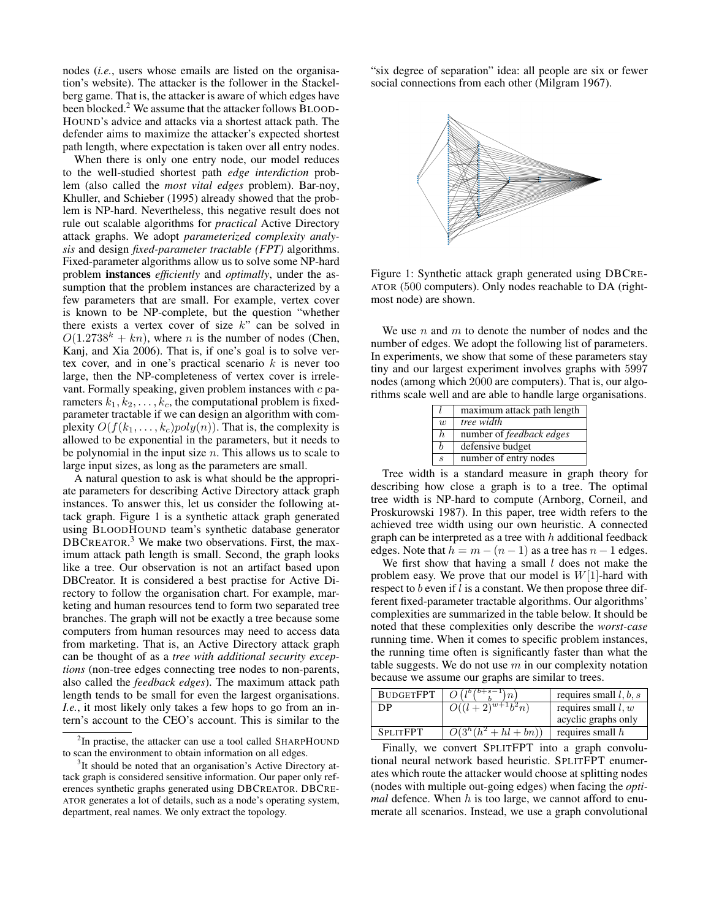nodes (*i.e.*, users whose emails are listed on the organisation's website). The attacker is the follower in the Stackelberg game. That is, the attacker is aware of which edges have been blocked.<sup>2</sup> We assume that the attacker follows BLOOD-HOUND's advice and attacks via a shortest attack path. The defender aims to maximize the attacker's expected shortest path length, where expectation is taken over all entry nodes.

When there is only one entry node, our model reduces to the well-studied shortest path *edge interdiction* problem (also called the *most vital edges* problem). Bar-noy, Khuller, and Schieber (1995) already showed that the problem is NP-hard. Nevertheless, this negative result does not rule out scalable algorithms for *practical* Active Directory attack graphs. We adopt *parameterized complexity analysis* and design *fixed-parameter tractable (FPT)* algorithms. Fixed-parameter algorithms allow us to solve some NP-hard problem instances *efficiently* and *optimally*, under the assumption that the problem instances are characterized by a few parameters that are small. For example, vertex cover is known to be NP-complete, but the question "whether there exists a vertex cover of size  $k$ " can be solved in  $O(1.2738<sup>k</sup> + kn)$ , where *n* is the number of nodes (Chen, Kanj, and Xia 2006). That is, if one's goal is to solve vertex cover, and in one's practical scenario  $k$  is never too large, then the NP-completeness of vertex cover is irrelevant. Formally speaking, given problem instances with  $c$  parameters  $k_1, k_2, \ldots, k_c$ , the computational problem is fixedparameter tractable if we can design an algorithm with complexity  $O(f(k_1, \ldots, k_c)poly(n))$ . That is, the complexity is allowed to be exponential in the parameters, but it needs to be polynomial in the input size  $n$ . This allows us to scale to large input sizes, as long as the parameters are small.

A natural question to ask is what should be the appropriate parameters for describing Active Directory attack graph instances. To answer this, let us consider the following attack graph. Figure 1 is a synthetic attack graph generated using BLOODHOUND team's synthetic database generator DBCREATOR.<sup>3</sup> We make two observations. First, the maximum attack path length is small. Second, the graph looks like a tree. Our observation is not an artifact based upon DBCreator. It is considered a best practise for Active Directory to follow the organisation chart. For example, marketing and human resources tend to form two separated tree branches. The graph will not be exactly a tree because some computers from human resources may need to access data from marketing. That is, an Active Directory attack graph can be thought of as a *tree with additional security exceptions* (non-tree edges connecting tree nodes to non-parents, also called the *feedback edges*). The maximum attack path length tends to be small for even the largest organisations. *I.e.*, it most likely only takes a few hops to go from an intern's account to the CEO's account. This is similar to the

<sup>2</sup>In practise, the attacker can use a tool called SHARPHOUND to scan the environment to obtain information on all edges.

"six degree of separation" idea: all people are six or fewer social connections from each other (Milgram 1967).



Figure 1: Synthetic attack graph generated using DBCRE-ATOR (500 computers). Only nodes reachable to DA (rightmost node) are shown.

We use  $n$  and  $m$  to denote the number of nodes and the number of edges. We adopt the following list of parameters. In experiments, we show that some of these parameters stay tiny and our largest experiment involves graphs with 5997 nodes (among which 2000 are computers). That is, our algorithms scale well and are able to handle large organisations.

|                             | maximum attack path length      |
|-----------------------------|---------------------------------|
| $\overline{w}$              | tree width                      |
| h.                          | number of <i>feedback edges</i> |
|                             | defensive budget                |
| $\mathcal{S}_{\mathcal{S}}$ | number of entry nodes           |
|                             |                                 |

Tree width is a standard measure in graph theory for describing how close a graph is to a tree. The optimal tree width is NP-hard to compute (Arnborg, Corneil, and Proskurowski 1987). In this paper, tree width refers to the achieved tree width using our own heuristic. A connected graph can be interpreted as a tree with  $h$  additional feedback edges. Note that  $h = m - (n - 1)$  as a tree has  $n - 1$  edges.

We first show that having a small  $l$  does not make the problem easy. We prove that our model is  $W[1]$ -hard with respect to b even if l is a constant. We then propose three different fixed-parameter tractable algorithms. Our algorithms' complexities are summarized in the table below. It should be noted that these complexities only describe the *worst-case* running time. When it comes to specific problem instances, the running time often is significantly faster than what the table suggests. We do not use  $m$  in our complexity notation because we assume our graphs are similar to trees.

| requires small $l, b, s$                               |
|--------------------------------------------------------|
| requires small $l, w$                                  |
| acyclic graphs only                                    |
| requires small $h$                                     |
| $O((l+2)^{w+1}b^2n)$<br>$\overline{O(3^h(h^2+hl+bn))}$ |

Finally, we convert SPLITFPT into a graph convolutional neural network based heuristic. SPLITFPT enumerates which route the attacker would choose at splitting nodes (nodes with multiple out-going edges) when facing the *optimal* defence. When h is too large, we cannot afford to enumerate all scenarios. Instead, we use a graph convolutional

<sup>&</sup>lt;sup>3</sup>It should be noted that an organisation's Active Directory attack graph is considered sensitive information. Our paper only references synthetic graphs generated using DBCREATOR. DBCRE-ATOR generates a lot of details, such as a node's operating system, department, real names. We only extract the topology.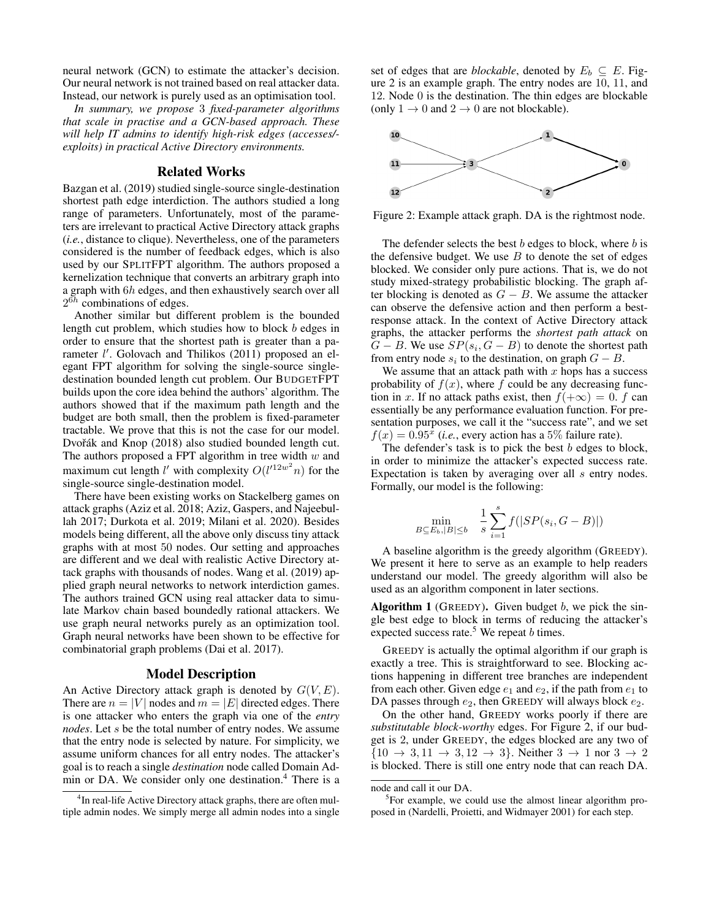neural network (GCN) to estimate the attacker's decision. Our neural network is not trained based on real attacker data. Instead, our network is purely used as an optimisation tool.

*In summary, we propose* 3 *fixed-parameter algorithms that scale in practise and a GCN-based approach. These will help IT admins to identify high-risk edges (accesses/ exploits) in practical Active Directory environments.*

## Related Works

Bazgan et al. (2019) studied single-source single-destination shortest path edge interdiction. The authors studied a long range of parameters. Unfortunately, most of the parameters are irrelevant to practical Active Directory attack graphs (*i.e.*, distance to clique). Nevertheless, one of the parameters considered is the number of feedback edges, which is also used by our SPLITFPT algorithm. The authors proposed a kernelization technique that converts an arbitrary graph into a graph with 6h edges, and then exhaustively search over all  $2^{6h}$  combinations of edges.

Another similar but different problem is the bounded length cut problem, which studies how to block b edges in order to ensure that the shortest path is greater than a parameter l'. Golovach and Thilikos (2011) proposed an elegant FPT algorithm for solving the single-source singledestination bounded length cut problem. Our BUDGETFPT builds upon the core idea behind the authors' algorithm. The authors showed that if the maximum path length and the budget are both small, then the problem is fixed-parameter tractable. We prove that this is not the case for our model. Dvořák and Knop (2018) also studied bounded length cut. The authors proposed a FPT algorithm in tree width  $w$  and maximum cut length l' with complexity  $O(l'^{12w^2}n)$  for the single-source single-destination model.

There have been existing works on Stackelberg games on attack graphs (Aziz et al. 2018; Aziz, Gaspers, and Najeebullah 2017; Durkota et al. 2019; Milani et al. 2020). Besides models being different, all the above only discuss tiny attack graphs with at most 50 nodes. Our setting and approaches are different and we deal with realistic Active Directory attack graphs with thousands of nodes. Wang et al. (2019) applied graph neural networks to network interdiction games. The authors trained GCN using real attacker data to simulate Markov chain based boundedly rational attackers. We use graph neural networks purely as an optimization tool. Graph neural networks have been shown to be effective for combinatorial graph problems (Dai et al. 2017).

#### Model Description

An Active Directory attack graph is denoted by  $G(V, E)$ . There are  $n = |V|$  nodes and  $m = |E|$  directed edges. There is one attacker who enters the graph via one of the *entry nodes*. Let s be the total number of entry nodes. We assume that the entry node is selected by nature. For simplicity, we assume uniform chances for all entry nodes. The attacker's goal is to reach a single *destination* node called Domain Admin or DA. We consider only one destination.<sup>4</sup> There is a

set of edges that are *blockable*, denoted by  $E_b \subseteq E$ . Figure 2 is an example graph. The entry nodes are 10, 11, and 12. Node 0 is the destination. The thin edges are blockable (only  $1 \rightarrow 0$  and  $2 \rightarrow 0$  are not blockable).



Figure 2: Example attack graph. DA is the rightmost node.

The defender selects the best  $b$  edges to block, where  $b$  is the defensive budget. We use  $B$  to denote the set of edges blocked. We consider only pure actions. That is, we do not study mixed-strategy probabilistic blocking. The graph after blocking is denoted as  $G - B$ . We assume the attacker can observe the defensive action and then perform a bestresponse attack. In the context of Active Directory attack graphs, the attacker performs the *shortest path attack* on  $G - B$ . We use  $SP(s_i, G - B)$  to denote the shortest path from entry node  $s_i$  to the destination, on graph  $G - B$ .

We assume that an attack path with  $x$  hops has a success probability of  $f(x)$ , where f could be any decreasing function in x. If no attack paths exist, then  $f(+\infty) = 0$ . f can essentially be any performance evaluation function. For presentation purposes, we call it the "success rate", and we set  $f(x) = 0.95^x$  (*i.e.*, every action has a 5% failure rate).

The defender's task is to pick the best  $b$  edges to block, in order to minimize the attacker's expected success rate. Expectation is taken by averaging over all s entry nodes. Formally, our model is the following:

$$
\min_{B \subseteq E_b, |B| \le b} \quad \frac{1}{s} \sum_{i=1}^{s} f(|SP(s_i, G - B)|)
$$

A baseline algorithm is the greedy algorithm (GREEDY). We present it here to serve as an example to help readers understand our model. The greedy algorithm will also be used as an algorithm component in later sections.

Algorithm 1 (GREEDY). Given budget  $b$ , we pick the single best edge to block in terms of reducing the attacker's expected success rate. $5$  We repeat b times.

GREEDY is actually the optimal algorithm if our graph is exactly a tree. This is straightforward to see. Blocking actions happening in different tree branches are independent from each other. Given edge  $e_1$  and  $e_2$ , if the path from  $e_1$  to DA passes through  $e_2$ , then GREEDY will always block  $e_2$ .

On the other hand, GREEDY works poorly if there are *substitutable block-worthy* edges. For Figure 2, if our budget is 2, under GREEDY, the edges blocked are any two of  ${10 \to 3, 11 \to 3, 12 \to 3}$ . Neither  $3 \to 1$  nor  $3 \to 2$ is blocked. There is still one entry node that can reach DA.

<sup>5</sup>For example, we could use the almost linear algorithm proposed in (Nardelli, Proietti, and Widmayer 2001) for each step.

<sup>&</sup>lt;sup>4</sup>In real-life Active Directory attack graphs, there are often multiple admin nodes. We simply merge all admin nodes into a single

node and call it our DA.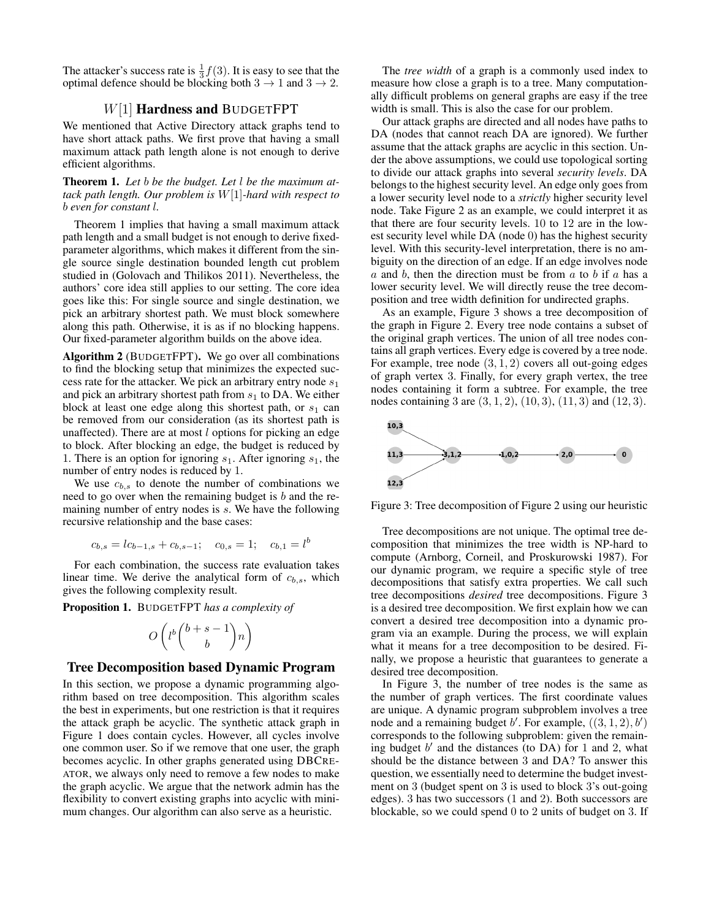The attacker's success rate is  $\frac{1}{3}f(3)$ . It is easy to see that the optimal defence should be blocking both  $3 \rightarrow 1$  and  $3 \rightarrow 2$ .

# W[1] Hardness and BUDGETFPT

We mentioned that Active Directory attack graphs tend to have short attack paths. We first prove that having a small maximum attack path length alone is not enough to derive efficient algorithms.

Theorem 1. *Let* b *be the budget. Let* l *be the maximum attack path length. Our problem is* W[1]*-hard with respect to* b *even for constant* l*.*

Theorem 1 implies that having a small maximum attack path length and a small budget is not enough to derive fixedparameter algorithms, which makes it different from the single source single destination bounded length cut problem studied in (Golovach and Thilikos 2011). Nevertheless, the authors' core idea still applies to our setting. The core idea goes like this: For single source and single destination, we pick an arbitrary shortest path. We must block somewhere along this path. Otherwise, it is as if no blocking happens. Our fixed-parameter algorithm builds on the above idea.

Algorithm 2 (BUDGETFPT). We go over all combinations to find the blocking setup that minimizes the expected success rate for the attacker. We pick an arbitrary entry node  $s_1$ and pick an arbitrary shortest path from  $s_1$  to DA. We either block at least one edge along this shortest path, or  $s_1$  can be removed from our consideration (as its shortest path is unaffected). There are at most  $l$  options for picking an edge to block. After blocking an edge, the budget is reduced by 1. There is an option for ignoring  $s_1$ . After ignoring  $s_1$ , the number of entry nodes is reduced by 1.

We use  $c_{b,s}$  to denote the number of combinations we need to go over when the remaining budget is b and the remaining number of entry nodes is s. We have the following recursive relationship and the base cases:

$$
c_{b,s} = lc_{b-1,s} + c_{b,s-1}; \quad c_{0,s} = 1; \quad c_{b,1} = l^b
$$

For each combination, the success rate evaluation takes linear time. We derive the analytical form of  $c_{b,s}$ , which gives the following complexity result.

Proposition 1. BUDGETFPT *has a complexity of*

$$
O\left(l^b \binom{b+s-1}{b}n\right)
$$

#### Tree Decomposition based Dynamic Program

In this section, we propose a dynamic programming algorithm based on tree decomposition. This algorithm scales the best in experiments, but one restriction is that it requires the attack graph be acyclic. The synthetic attack graph in Figure 1 does contain cycles. However, all cycles involve one common user. So if we remove that one user, the graph becomes acyclic. In other graphs generated using DBCRE-ATOR, we always only need to remove a few nodes to make the graph acyclic. We argue that the network admin has the flexibility to convert existing graphs into acyclic with minimum changes. Our algorithm can also serve as a heuristic.

The *tree width* of a graph is a commonly used index to measure how close a graph is to a tree. Many computationally difficult problems on general graphs are easy if the tree width is small. This is also the case for our problem.

Our attack graphs are directed and all nodes have paths to DA (nodes that cannot reach DA are ignored). We further assume that the attack graphs are acyclic in this section. Under the above assumptions, we could use topological sorting to divide our attack graphs into several *security levels*. DA belongs to the highest security level. An edge only goes from a lower security level node to a *strictly* higher security level node. Take Figure 2 as an example, we could interpret it as that there are four security levels. 10 to 12 are in the lowest security level while DA (node 0) has the highest security level. With this security-level interpretation, there is no ambiguity on the direction of an edge. If an edge involves node  $a$  and  $b$ , then the direction must be from  $a$  to  $b$  if  $a$  has a lower security level. We will directly reuse the tree decomposition and tree width definition for undirected graphs.

As an example, Figure 3 shows a tree decomposition of the graph in Figure 2. Every tree node contains a subset of the original graph vertices. The union of all tree nodes contains all graph vertices. Every edge is covered by a tree node. For example, tree node  $(3, 1, 2)$  covers all out-going edges of graph vertex 3. Finally, for every graph vertex, the tree nodes containing it form a subtree. For example, the tree nodes containing 3 are  $(3, 1, 2)$ ,  $(10, 3)$ ,  $(11, 3)$  and  $(12, 3)$ .



Figure 3: Tree decomposition of Figure 2 using our heuristic

Tree decompositions are not unique. The optimal tree decomposition that minimizes the tree width is NP-hard to compute (Arnborg, Corneil, and Proskurowski 1987). For our dynamic program, we require a specific style of tree decompositions that satisfy extra properties. We call such tree decompositions *desired* tree decompositions. Figure 3 is a desired tree decomposition. We first explain how we can convert a desired tree decomposition into a dynamic program via an example. During the process, we will explain what it means for a tree decomposition to be desired. Finally, we propose a heuristic that guarantees to generate a desired tree decomposition.

In Figure 3, the number of tree nodes is the same as the number of graph vertices. The first coordinate values are unique. A dynamic program subproblem involves a tree node and a remaining budget  $b'$ . For example,  $((3, 1, 2), b')$ corresponds to the following subproblem: given the remaining budget  $b'$  and the distances (to DA) for 1 and 2, what should be the distance between 3 and DA? To answer this question, we essentially need to determine the budget investment on 3 (budget spent on 3 is used to block 3's out-going edges). 3 has two successors (1 and 2). Both successors are blockable, so we could spend 0 to 2 units of budget on 3. If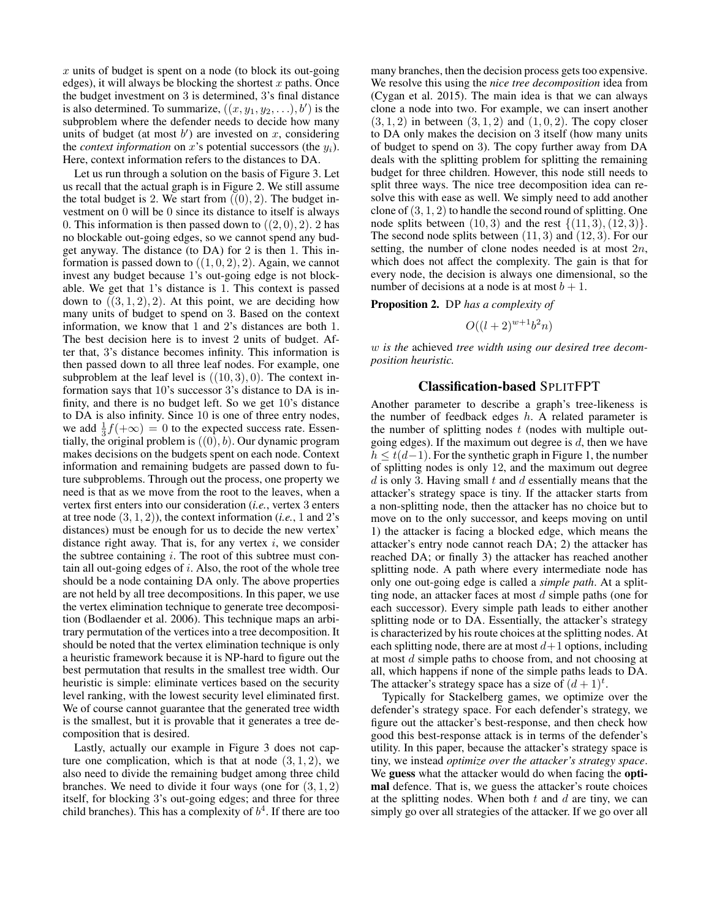$x$  units of budget is spent on a node (to block its out-going edges), it will always be blocking the shortest  $x$  paths. Once the budget investment on 3 is determined, 3's final distance is also determined. To summarize,  $((x, y_1, y_2, \ldots), b')$  is the subproblem where the defender needs to decide how many units of budget (at most  $b'$ ) are invested on x, considering the *context information* on x's potential successors (the  $y_i$ ). Here, context information refers to the distances to DA.

Let us run through a solution on the basis of Figure 3. Let us recall that the actual graph is in Figure 2. We still assume the total budget is 2. We start from  $((0), 2)$ . The budget investment on 0 will be 0 since its distance to itself is always 0. This information is then passed down to  $((2,0), 2)$ . 2 has no blockable out-going edges, so we cannot spend any budget anyway. The distance (to DA) for 2 is then 1. This information is passed down to  $((1, 0, 2), 2)$ . Again, we cannot invest any budget because 1's out-going edge is not blockable. We get that 1's distance is 1. This context is passed down to  $((3, 1, 2), 2)$ . At this point, we are deciding how many units of budget to spend on 3. Based on the context information, we know that 1 and 2's distances are both 1. The best decision here is to invest 2 units of budget. After that, 3's distance becomes infinity. This information is then passed down to all three leaf nodes. For example, one subproblem at the leaf level is  $((10, 3), 0)$ . The context information says that 10's successor 3's distance to DA is infinity, and there is no budget left. So we get 10's distance to DA is also infinity. Since 10 is one of three entry nodes, we add  $\frac{1}{3}f(+\infty) = 0$  to the expected success rate. Essentially, the original problem is  $((0), b)$ . Our dynamic program makes decisions on the budgets spent on each node. Context information and remaining budgets are passed down to future subproblems. Through out the process, one property we need is that as we move from the root to the leaves, when a vertex first enters into our consideration (*i.e.*, vertex 3 enters at tree node (3, 1, 2)), the context information (*i.e.*, 1 and 2's distances) must be enough for us to decide the new vertex' distance right away. That is, for any vertex  $i$ , we consider the subtree containing  $i$ . The root of this subtree must contain all out-going edges of  $i$ . Also, the root of the whole tree should be a node containing DA only. The above properties are not held by all tree decompositions. In this paper, we use the vertex elimination technique to generate tree decomposition (Bodlaender et al. 2006). This technique maps an arbitrary permutation of the vertices into a tree decomposition. It should be noted that the vertex elimination technique is only a heuristic framework because it is NP-hard to figure out the best permutation that results in the smallest tree width. Our heuristic is simple: eliminate vertices based on the security level ranking, with the lowest security level eliminated first. We of course cannot guarantee that the generated tree width is the smallest, but it is provable that it generates a tree decomposition that is desired.

Lastly, actually our example in Figure 3 does not capture one complication, which is that at node  $(3, 1, 2)$ , we also need to divide the remaining budget among three child branches. We need to divide it four ways (one for  $(3, 1, 2)$ ) itself, for blocking 3's out-going edges; and three for three child branches). This has a complexity of  $b<sup>4</sup>$ . If there are too

many branches, then the decision process gets too expensive. We resolve this using the *nice tree decomposition* idea from (Cygan et al. 2015). The main idea is that we can always clone a node into two. For example, we can insert another  $(3, 1, 2)$  in between  $(3, 1, 2)$  and  $(1, 0, 2)$ . The copy closer to DA only makes the decision on 3 itself (how many units of budget to spend on 3). The copy further away from DA deals with the splitting problem for splitting the remaining budget for three children. However, this node still needs to split three ways. The nice tree decomposition idea can resolve this with ease as well. We simply need to add another clone of  $(3, 1, 2)$  to handle the second round of splitting. One node splits between  $(10, 3)$  and the rest  $\{(11, 3), (12, 3)\}.$ The second node splits between (11, 3) and (12, 3). For our setting, the number of clone nodes needed is at most  $2n$ , which does not affect the complexity. The gain is that for every node, the decision is always one dimensional, so the number of decisions at a node is at most  $b + 1$ .

Proposition 2. DP *has a complexity of*

$$
O((l+2)^{w+1}b^2n)
$$

w *is the* achieved *tree width using our desired tree decomposition heuristic.*

## Classification-based SPLITFPT

Another parameter to describe a graph's tree-likeness is the number of feedback edges  $h$ . A related parameter is the number of splitting nodes  $t$  (nodes with multiple outgoing edges). If the maximum out degree is  $d$ , then we have  $h \leq t(d-1)$ . For the synthetic graph in Figure 1, the number of splitting nodes is only 12, and the maximum out degree  $d$  is only 3. Having small  $t$  and  $d$  essentially means that the attacker's strategy space is tiny. If the attacker starts from a non-splitting node, then the attacker has no choice but to move on to the only successor, and keeps moving on until 1) the attacker is facing a blocked edge, which means the attacker's entry node cannot reach DA; 2) the attacker has reached DA; or finally 3) the attacker has reached another splitting node. A path where every intermediate node has only one out-going edge is called a *simple path*. At a splitting node, an attacker faces at most  $d$  simple paths (one for each successor). Every simple path leads to either another splitting node or to DA. Essentially, the attacker's strategy is characterized by his route choices at the splitting nodes. At each splitting node, there are at most  $d+1$  options, including at most d simple paths to choose from, and not choosing at all, which happens if none of the simple paths leads to DA. The attacker's strategy space has a size of  $(d+1)^t$ .

Typically for Stackelberg games, we optimize over the defender's strategy space. For each defender's strategy, we figure out the attacker's best-response, and then check how good this best-response attack is in terms of the defender's utility. In this paper, because the attacker's strategy space is tiny, we instead *optimize over the attacker's strategy space*. We guess what the attacker would do when facing the optimal defence. That is, we guess the attacker's route choices at the splitting nodes. When both  $t$  and  $d$  are tiny, we can simply go over all strategies of the attacker. If we go over all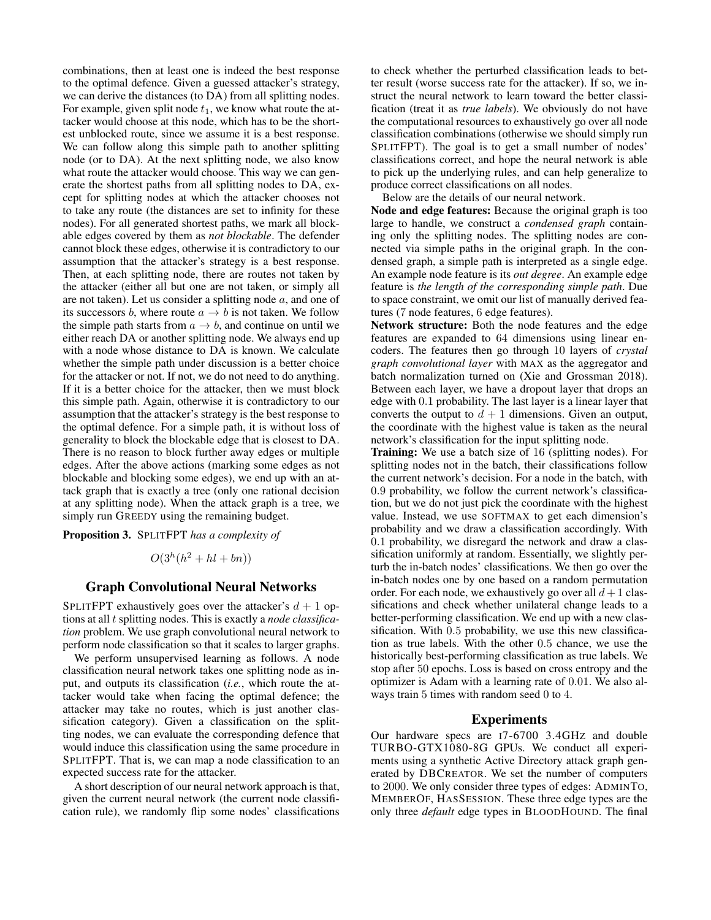combinations, then at least one is indeed the best response to the optimal defence. Given a guessed attacker's strategy, we can derive the distances (to DA) from all splitting nodes. For example, given split node  $t_1$ , we know what route the attacker would choose at this node, which has to be the shortest unblocked route, since we assume it is a best response. We can follow along this simple path to another splitting node (or to DA). At the next splitting node, we also know what route the attacker would choose. This way we can generate the shortest paths from all splitting nodes to DA, except for splitting nodes at which the attacker chooses not to take any route (the distances are set to infinity for these nodes). For all generated shortest paths, we mark all blockable edges covered by them as *not blockable*. The defender cannot block these edges, otherwise it is contradictory to our assumption that the attacker's strategy is a best response. Then, at each splitting node, there are routes not taken by the attacker (either all but one are not taken, or simply all are not taken). Let us consider a splitting node  $a$ , and one of its successors b, where route  $a \rightarrow b$  is not taken. We follow the simple path starts from  $a \rightarrow b$ , and continue on until we either reach DA or another splitting node. We always end up with a node whose distance to DA is known. We calculate whether the simple path under discussion is a better choice for the attacker or not. If not, we do not need to do anything. If it is a better choice for the attacker, then we must block this simple path. Again, otherwise it is contradictory to our assumption that the attacker's strategy is the best response to the optimal defence. For a simple path, it is without loss of generality to block the blockable edge that is closest to DA. There is no reason to block further away edges or multiple edges. After the above actions (marking some edges as not blockable and blocking some edges), we end up with an attack graph that is exactly a tree (only one rational decision at any splitting node). When the attack graph is a tree, we simply run GREEDY using the remaining budget.

Proposition 3. SPLITFPT *has a complexity of*

$$
O(3^h(h^2 + hl + bn))
$$

# Graph Convolutional Neural Networks

SPLITFPT exhaustively goes over the attacker's  $d + 1$  options at all t splitting nodes. This is exactly a *node classification* problem. We use graph convolutional neural network to perform node classification so that it scales to larger graphs.

We perform unsupervised learning as follows. A node classification neural network takes one splitting node as input, and outputs its classification (*i.e.*, which route the attacker would take when facing the optimal defence; the attacker may take no routes, which is just another classification category). Given a classification on the splitting nodes, we can evaluate the corresponding defence that would induce this classification using the same procedure in SPLITFPT. That is, we can map a node classification to an expected success rate for the attacker.

A short description of our neural network approach is that, given the current neural network (the current node classification rule), we randomly flip some nodes' classifications

to check whether the perturbed classification leads to better result (worse success rate for the attacker). If so, we instruct the neural network to learn toward the better classification (treat it as *true labels*). We obviously do not have the computational resources to exhaustively go over all node classification combinations (otherwise we should simply run SPLITFPT). The goal is to get a small number of nodes' classifications correct, and hope the neural network is able to pick up the underlying rules, and can help generalize to produce correct classifications on all nodes.

Below are the details of our neural network.

Node and edge features: Because the original graph is too large to handle, we construct a *condensed graph* containing only the splitting nodes. The splitting nodes are connected via simple paths in the original graph. In the condensed graph, a simple path is interpreted as a single edge. An example node feature is its *out degree*. An example edge feature is *the length of the corresponding simple path*. Due to space constraint, we omit our list of manually derived features (7 node features, 6 edge features).

Network structure: Both the node features and the edge features are expanded to 64 dimensions using linear encoders. The features then go through 10 layers of *crystal graph convolutional layer* with MAX as the aggregator and batch normalization turned on (Xie and Grossman 2018). Between each layer, we have a dropout layer that drops an edge with 0.1 probability. The last layer is a linear layer that converts the output to  $d + 1$  dimensions. Given an output, the coordinate with the highest value is taken as the neural network's classification for the input splitting node.

Training: We use a batch size of 16 (splitting nodes). For splitting nodes not in the batch, their classifications follow the current network's decision. For a node in the batch, with 0.9 probability, we follow the current network's classification, but we do not just pick the coordinate with the highest value. Instead, we use SOFTMAX to get each dimension's probability and we draw a classification accordingly. With 0.1 probability, we disregard the network and draw a classification uniformly at random. Essentially, we slightly perturb the in-batch nodes' classifications. We then go over the in-batch nodes one by one based on a random permutation order. For each node, we exhaustively go over all  $d+1$  classifications and check whether unilateral change leads to a better-performing classification. We end up with a new classification. With 0.5 probability, we use this new classification as true labels. With the other 0.5 chance, we use the historically best-performing classification as true labels. We stop after 50 epochs. Loss is based on cross entropy and the optimizer is Adam with a learning rate of 0.01. We also always train 5 times with random seed 0 to 4.

#### Experiments

Our hardware specs are I7-6700 3.4GHZ and double TURBO-GTX1080-8G GPUs. We conduct all experiments using a synthetic Active Directory attack graph generated by DBCREATOR. We set the number of computers to 2000. We only consider three types of edges: ADMINTO, MEMBEROF, HASSESSION. These three edge types are the only three *default* edge types in BLOODHOUND. The final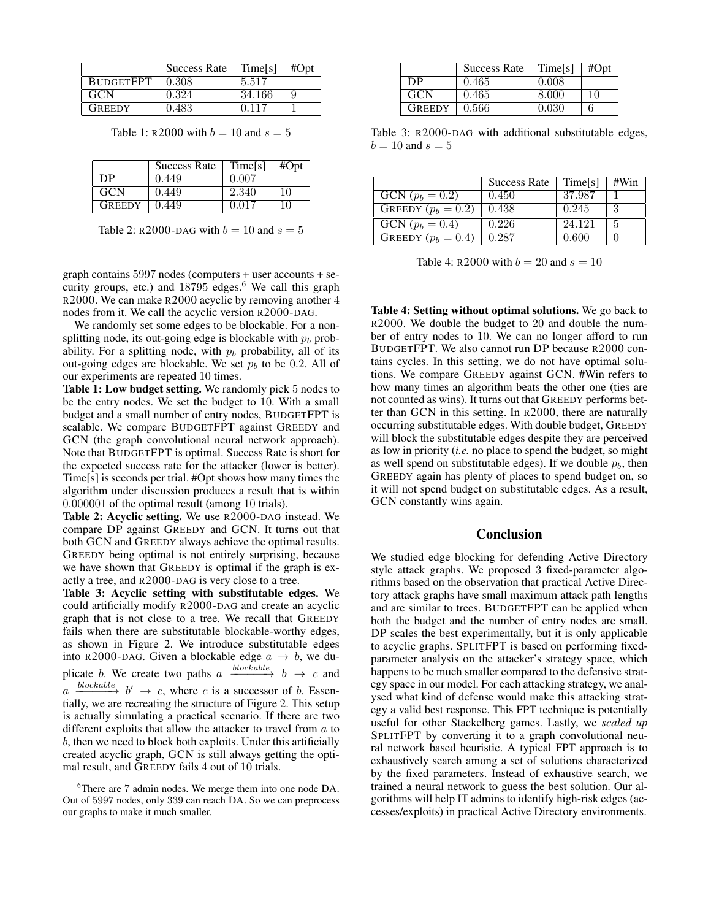|                  | <b>Success Rate</b> | Time[s] | #Opt |
|------------------|---------------------|---------|------|
| <b>BUDGETFPT</b> | 0.308               | 5.517   |      |
| GCN              | 0.324               | 34.166  | Q    |
| <b>GREEDY</b>    | 0.483               | 0.117   |      |

Table 1: R2000 with  $b = 10$  and  $s = 5$ 

|               | <b>Success Rate</b> | Time[s] | #Opt |
|---------------|---------------------|---------|------|
| DP            | 0.449               | 0.007   |      |
| <b>GCN</b>    | 0.449               | 2.340   | 10   |
| <b>GREEDY</b> | 0.449               | 0.017   | 10   |

Table 2: R2000-DAG with  $b = 10$  and  $s = 5$ 

graph contains 5997 nodes (computers + user accounts + security groups, etc.) and 18795 edges.<sup>6</sup> We call this graph R2000. We can make R2000 acyclic by removing another 4 nodes from it. We call the acyclic version R2000-DAG.

We randomly set some edges to be blockable. For a nonsplitting node, its out-going edge is blockable with  $p_b$  probability. For a splitting node, with  $p_b$  probability, all of its out-going edges are blockable. We set  $p_b$  to be 0.2. All of our experiments are repeated 10 times.

Table 1: Low budget setting. We randomly pick 5 nodes to be the entry nodes. We set the budget to 10. With a small budget and a small number of entry nodes, BUDGETFPT is scalable. We compare BUDGETFPT against GREEDY and GCN (the graph convolutional neural network approach). Note that BUDGETFPT is optimal. Success Rate is short for the expected success rate for the attacker (lower is better). Time[s] is seconds per trial. #Opt shows how many times the algorithm under discussion produces a result that is within 0.000001 of the optimal result (among 10 trials).

Table 2: Acyclic setting. We use R2000-DAG instead. We compare DP against GREEDY and GCN. It turns out that both GCN and GREEDY always achieve the optimal results. GREEDY being optimal is not entirely surprising, because we have shown that GREEDY is optimal if the graph is exactly a tree, and R2000-DAG is very close to a tree.

Table 3: Acyclic setting with substitutable edges. We could artificially modify R2000-DAG and create an acyclic graph that is not close to a tree. We recall that GREEDY fails when there are substitutable blockable-worthy edges, as shown in Figure 2. We introduce substitutable edges into R2000-DAG. Given a blockable edge  $a \rightarrow b$ , we duplicate b. We create two paths  $a \xrightarrow{blockable} b \rightarrow c$  and  $a \xrightarrow{blockable} b' \rightarrow c$ , where c is a successor of b. Essentially, we are recreating the structure of Figure 2. This setup is actually simulating a practical scenario. If there are two different exploits that allow the attacker to travel from  $a$  to b, then we need to block both exploits. Under this artificially created acyclic graph, GCN is still always getting the optimal result, and GREEDY fails 4 out of 10 trials.

|               | <b>Success Rate</b> | Time[s] | #Opt |
|---------------|---------------------|---------|------|
| DP            | 0.465               | 0.008   |      |
| <b>GCN</b>    | 0.465               | 8.000   | 10   |
| <b>GREEDY</b> | 0.566               | 0.030   |      |

Table 3: R2000-DAG with additional substitutable edges,  $b = 10$  and  $s = 5$ 

|                      | <b>Success Rate</b> | Time[s] | #Win |
|----------------------|---------------------|---------|------|
| GCN $(p_b = 0.2)$    | 0.450               | 37.987  |      |
| GREEDY $(p_b = 0.2)$ | 0.438               | 0.245   | 3    |
| $GCN (p_b = 0.4)$    | 0.226               | 24.121  | 5    |
| GREEDY $(p_b = 0.4)$ | 0.287               | 0.600   |      |

Table 4: R2000 with  $b = 20$  and  $s = 10$ 

Table 4: Setting without optimal solutions. We go back to R2000. We double the budget to 20 and double the number of entry nodes to 10. We can no longer afford to run BUDGETFPT. We also cannot run DP because R2000 contains cycles. In this setting, we do not have optimal solutions. We compare GREEDY against GCN. #Win refers to how many times an algorithm beats the other one (ties are not counted as wins). It turns out that GREEDY performs better than GCN in this setting. In R2000, there are naturally occurring substitutable edges. With double budget, GREEDY will block the substitutable edges despite they are perceived as low in priority (*i.e.* no place to spend the budget, so might as well spend on substitutable edges). If we double  $p<sub>b</sub>$ , then GREEDY again has plenty of places to spend budget on, so it will not spend budget on substitutable edges. As a result, GCN constantly wins again.

#### Conclusion

We studied edge blocking for defending Active Directory style attack graphs. We proposed 3 fixed-parameter algorithms based on the observation that practical Active Directory attack graphs have small maximum attack path lengths and are similar to trees. BUDGETFPT can be applied when both the budget and the number of entry nodes are small. DP scales the best experimentally, but it is only applicable to acyclic graphs. SPLITFPT is based on performing fixedparameter analysis on the attacker's strategy space, which happens to be much smaller compared to the defensive strategy space in our model. For each attacking strategy, we analysed what kind of defense would make this attacking strategy a valid best response. This FPT technique is potentially useful for other Stackelberg games. Lastly, we *scaled up* SPLITFPT by converting it to a graph convolutional neural network based heuristic. A typical FPT approach is to exhaustively search among a set of solutions characterized by the fixed parameters. Instead of exhaustive search, we trained a neural network to guess the best solution. Our algorithms will help IT admins to identify high-risk edges (accesses/exploits) in practical Active Directory environments.

<sup>&</sup>lt;sup>6</sup>There are 7 admin nodes. We merge them into one node DA. Out of 5997 nodes, only 339 can reach DA. So we can preprocess our graphs to make it much smaller.